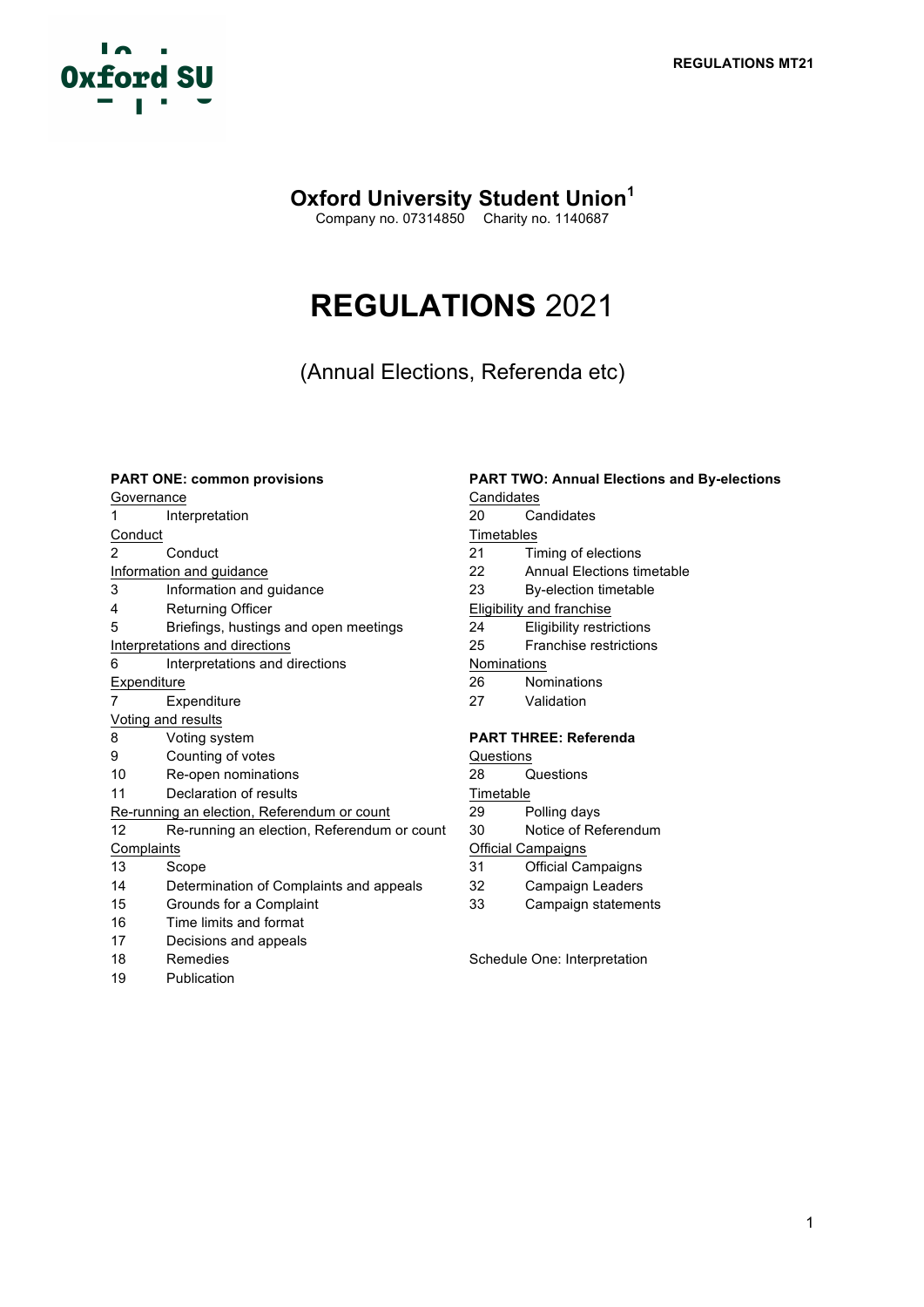

# **Oxford University Student Union<sup>1</sup>**

Company no. 07314850 Charity no. 1140687

# **REGULATIONS** 2021

(Annual Elections, Referenda etc)

| <b>PART ONE: common provisions</b> |                                             | <b>PART TWO: Annual Elections and By-elections</b> |                                 |
|------------------------------------|---------------------------------------------|----------------------------------------------------|---------------------------------|
| Governance                         |                                             | Candidates                                         |                                 |
| 1                                  | Interpretation                              | 20                                                 | Candidates                      |
| Conduct                            |                                             | Timetables                                         |                                 |
| $\overline{2}$                     | Conduct                                     | 21                                                 | Timing of elections             |
| Information and guidance           |                                             | 22                                                 | Annual Elections timetable      |
| 3                                  | Information and guidance                    | 23                                                 | By-election timetable           |
| 4                                  | <b>Returning Officer</b>                    | Eligibility and franchise                          |                                 |
| 5                                  | Briefings, hustings and open meetings       | 24                                                 | <b>Eligibility restrictions</b> |
| Interpretations and directions     |                                             | 25                                                 | Franchise restrictions          |
| 6                                  | Interpretations and directions              | Nominations                                        |                                 |
| Expenditure                        |                                             | 26                                                 | Nominations                     |
| 7                                  | Expenditure                                 | 27                                                 | Validation                      |
|                                    | Voting and results                          |                                                    |                                 |
| 8                                  | Voting system                               | <b>PART THREE: Referenda</b>                       |                                 |
| 9                                  | Counting of votes                           | Questions                                          |                                 |
| 10                                 | Re-open nominations                         | 28                                                 | Questions                       |
| 11                                 | Declaration of results                      | Timetable                                          |                                 |
|                                    | Re-running an election, Referendum or count | 29                                                 | Polling days                    |
| 12                                 | Re-running an election, Referendum or count | 30                                                 | Notice of Referendum            |
| Complaints                         |                                             | Official Campaigns                                 |                                 |
| 13                                 | Scope                                       | 31                                                 | <b>Official Campaigns</b>       |
| 14                                 | Determination of Complaints and appeals     | 32                                                 | Campaign Leaders                |
| 15                                 | Grounds for a Complaint                     | 33                                                 | Campaign statements             |
| 16                                 | Time limits and format                      |                                                    |                                 |
| 17                                 | Decisions and appeals                       |                                                    |                                 |
| 18                                 | Remedies                                    | Schedule One: Interpretation                       |                                 |
| 19                                 | Publication                                 |                                                    |                                 |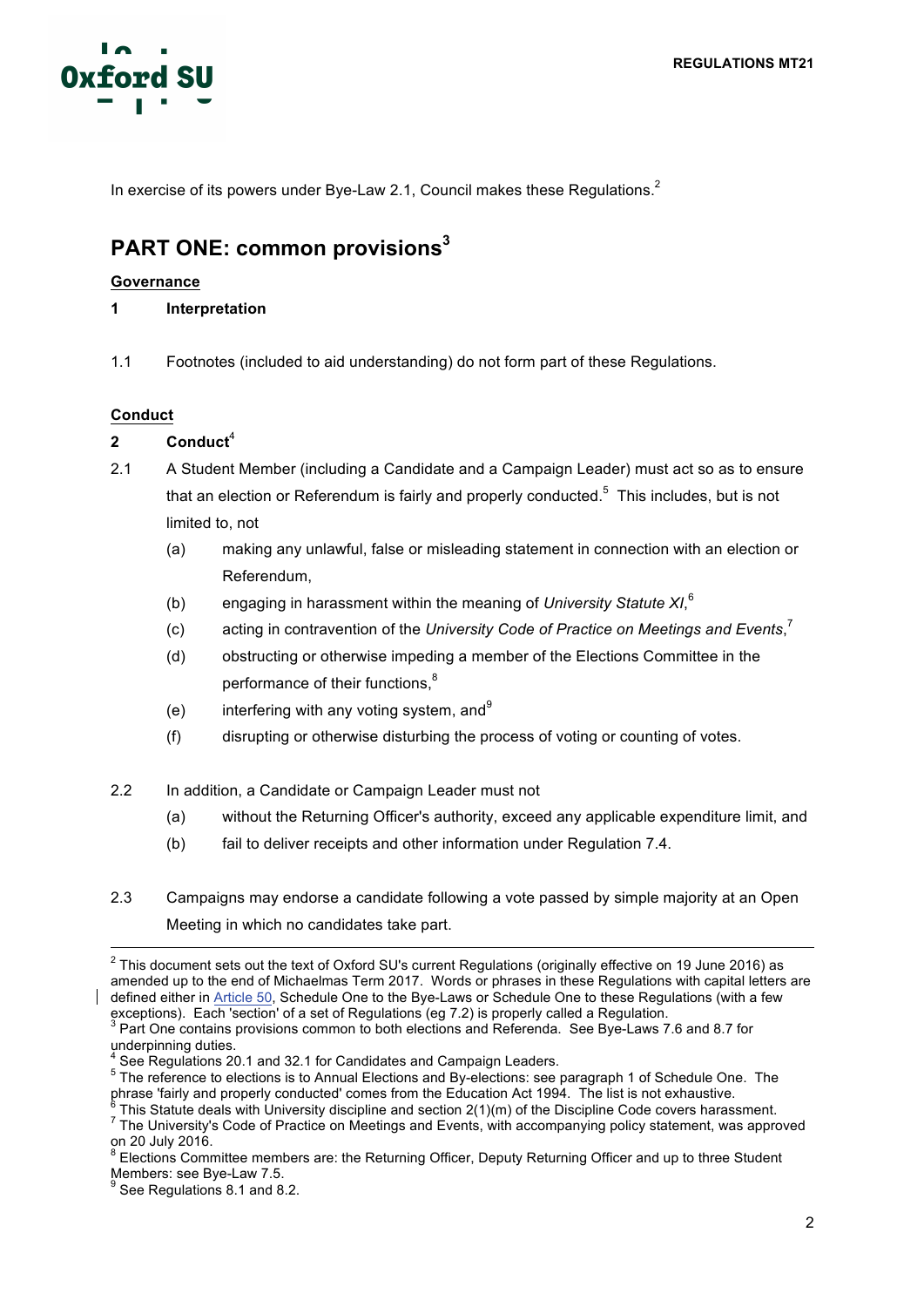

In exercise of its powers under Bye-Law 2.1, Council makes these Regulations.<sup>2</sup>

# **PART ONE: common provisions3**

# **Governance**

- **1 Interpretation**
- 1.1 Footnotes (included to aid understanding) do not form part of these Regulations.

# **Conduct**

- **2 Conduct** 4
- 2.1 A Student Member (including a Candidate and a Campaign Leader) must act so as to ensure that an election or Referendum is fairly and properly conducted.<sup>5</sup> This includes, but is not limited to, not
	- (a) making any unlawful, false or misleading statement in connection with an election or Referendum,
	- (b) engaging in harassment within the meaning of *University Statute XI*, 6
	- (c) acting in contravention of the *University Code of Practice on Meetings and Events*, 7
	- (d) obstructing or otherwise impeding a member of the Elections Committee in the performance of their functions,<sup>8</sup>
	- (e) interfering with any voting system, and  $9$
	- (f) disrupting or otherwise disturbing the process of voting or counting of votes.
- 2.2 In addition, a Candidate or Campaign Leader must not
	- (a) without the Returning Officer's authority, exceed any applicable expenditure limit, and
	- (b) fail to deliver receipts and other information under Regulation 7.4.
- 2.3 Campaigns may endorse a candidate following a vote passed by simple majority at an Open Meeting in which no candidates take part.

<sup>&</sup>lt;sup>2</sup> This document sets out the text of Oxford SU's current Regulations (originally effective on 19 June 2016) as amended up to the end of Michaelmas Term 2017. Words or phrases in these Regulations with capital letters are defined either in Article 50, Schedule One to the Bye-Laws or Schedule One to these Regulations (with a few exceptions). Each 'section' of a set of Regulations (eg 7.2) is properly called a Regulation.

<sup>3</sup> Part One contains provisions common to both elections and Referenda. See Bye-Laws 7.6 and 8.7 for underpinning duties.

See Regulations 20.1 and 32.1 for Candidates and Campaign Leaders.

<sup>&</sup>lt;sup>5</sup> The reference to elections is to Annual Elections and By-elections: see paragraph 1 of Schedule One. The phrase 'fairly and properly conducted' comes from the Education Act 1994. The list is not exhaustive.

 $^6$  This Statute deals with University discipline and section 2(1)(m) of the Discipline Code covers harassment.<br><sup>7</sup> The Universitv's Code of Practice on Meetings and Events, with accompanying policy statement, was approv on 20 July 2016.

 $8$  Elections Committee members are: the Returning Officer, Deputy Returning Officer and up to three Student Members: see Bye-Law 7.5.<br><sup>9</sup> See Regulations 8.1 and 8.2.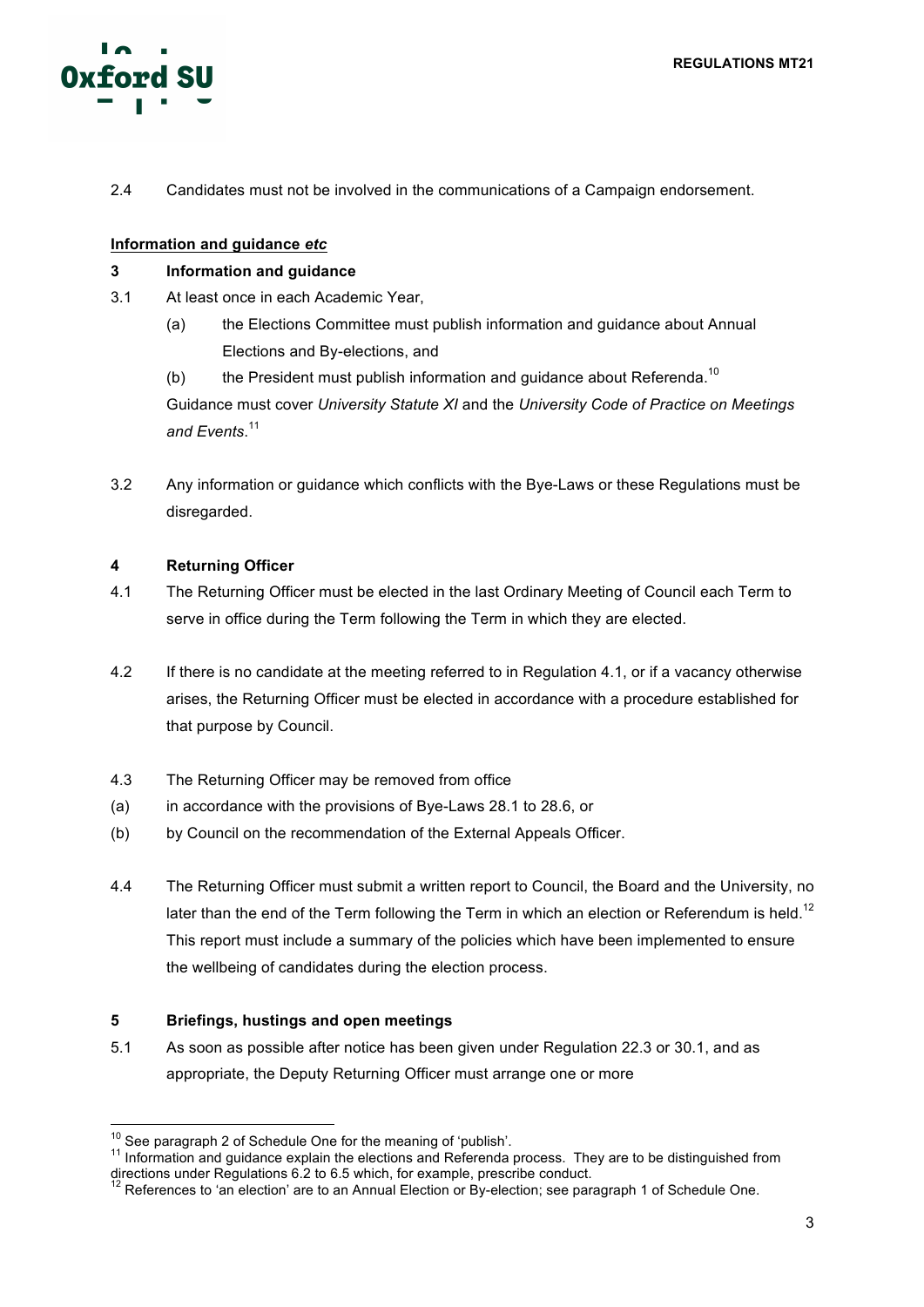

2.4 Candidates must not be involved in the communications of a Campaign endorsement.

# **Information and guidance** *etc*

# **3 Information and guidance**

- 3.1 At least once in each Academic Year,
	- (a) the Elections Committee must publish information and guidance about Annual Elections and By-elections, and
	- (b) the President must publish information and guidance about Referenda.<sup>10</sup>

Guidance must cover *University Statute XI* and the *University Code of Practice on Meetings and Events*. 11

3.2 Any information or guidance which conflicts with the Bye-Laws or these Regulations must be disregarded.

# **4 Returning Officer**

- 4.1 The Returning Officer must be elected in the last Ordinary Meeting of Council each Term to serve in office during the Term following the Term in which they are elected.
- 4.2 If there is no candidate at the meeting referred to in Regulation 4.1, or if a vacancy otherwise arises, the Returning Officer must be elected in accordance with a procedure established for that purpose by Council.
- 4.3 The Returning Officer may be removed from office
- (a) in accordance with the provisions of Bye-Laws 28.1 to 28.6, or
- (b) by Council on the recommendation of the External Appeals Officer.
- 4.4 The Returning Officer must submit a written report to Council, the Board and the University, no later than the end of the Term following the Term in which an election or Referendum is held.<sup>12</sup> This report must include a summary of the policies which have been implemented to ensure the wellbeing of candidates during the election process.

# **5 Briefings, hustings and open meetings**

5.1 As soon as possible after notice has been given under Regulation 22.3 or 30.1, and as appropriate, the Deputy Returning Officer must arrange one or more

<sup>&</sup>lt;sup>10</sup> See paragraph 2 of Schedule One for the meaning of 'publish'.<br><sup>11</sup> Information and guidance explain the elections and Referenda process. They are to be distinguished from directions under Regulations 6.2 to 6.5 which, for example, prescribe conduct.

 $12$  References to 'an election' are to an Annual Election or By-election; see paragraph 1 of Schedule One.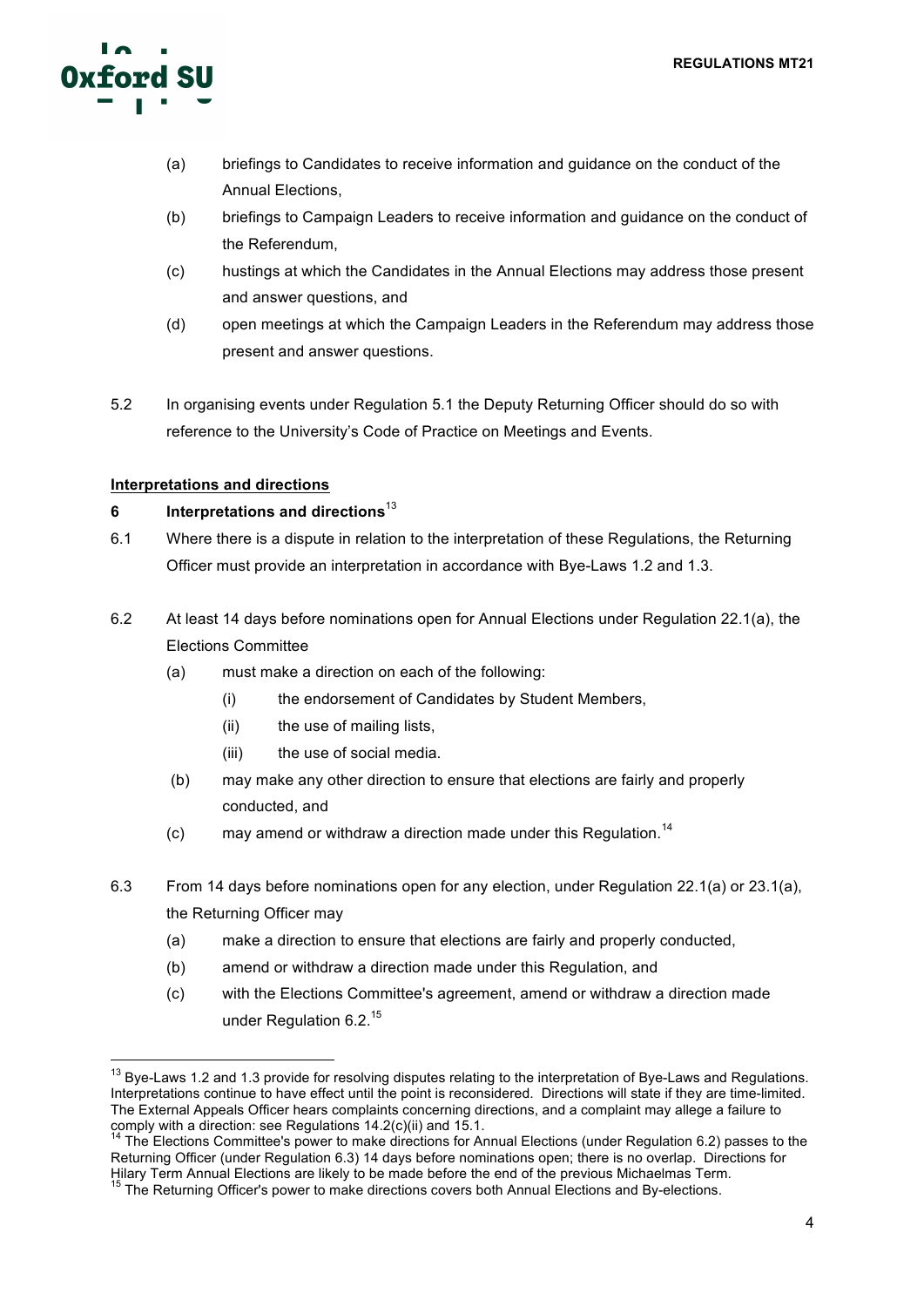

- (a) briefings to Candidates to receive information and guidance on the conduct of the Annual Elections,
- (b) briefings to Campaign Leaders to receive information and guidance on the conduct of the Referendum,
- (c) hustings at which the Candidates in the Annual Elections may address those present and answer questions, and
- (d) open meetings at which the Campaign Leaders in the Referendum may address those present and answer questions.
- 5.2 In organising events under Regulation 5.1 the Deputy Returning Officer should do so with reference to the University's Code of Practice on Meetings and Events.

# **Interpretations and directions**

# **6 Interpretations and directions**<sup>13</sup>

- 6.1 Where there is a dispute in relation to the interpretation of these Regulations, the Returning Officer must provide an interpretation in accordance with Bye-Laws 1.2 and 1.3.
- 6.2 At least 14 days before nominations open for Annual Elections under Regulation 22.1(a), the Elections Committee
	- (a) must make a direction on each of the following:
		- (i) the endorsement of Candidates by Student Members,
		- (ii) the use of mailing lists,
		- (iii) the use of social media.
	- (b) may make any other direction to ensure that elections are fairly and properly conducted, and
	- (c) may amend or withdraw a direction made under this Regulation.<sup>14</sup>
- 6.3 From 14 days before nominations open for any election, under Regulation 22.1(a) or 23.1(a), the Returning Officer may
	- (a) make a direction to ensure that elections are fairly and properly conducted,
	- (b) amend or withdraw a direction made under this Regulation, and
	- (c) with the Elections Committee's agreement, amend or withdraw a direction made under Regulation 6.2.<sup>15</sup>

<sup>&</sup>lt;sup>13</sup> Bve-Laws 1.2 and 1.3 provide for resolving disputes relating to the interpretation of Bye-Laws and Regulations. Interpretations continue to have effect until the point is reconsidered. Directions will state if they are time-limited. The External Appeals Officer hears complaints concerning directions, and a complaint may allege a failure to comply with a direction: see Regulations 14.2(c)(ii) and 15.1.

<sup>&</sup>lt;sup>14</sup> The Elections Committee's power to make directions for Annual Elections (under Regulation 6.2) passes to the Returning Officer (under Regulation 6.3) 14 days before nominations open; there is no overlap. Directions for Hilary Term Annual Elections are likely to be made before the end of the previous Michaelmas Term.<br><sup>15</sup> The Returning Officer's power to make directions covers both Annual Elections and By-elections.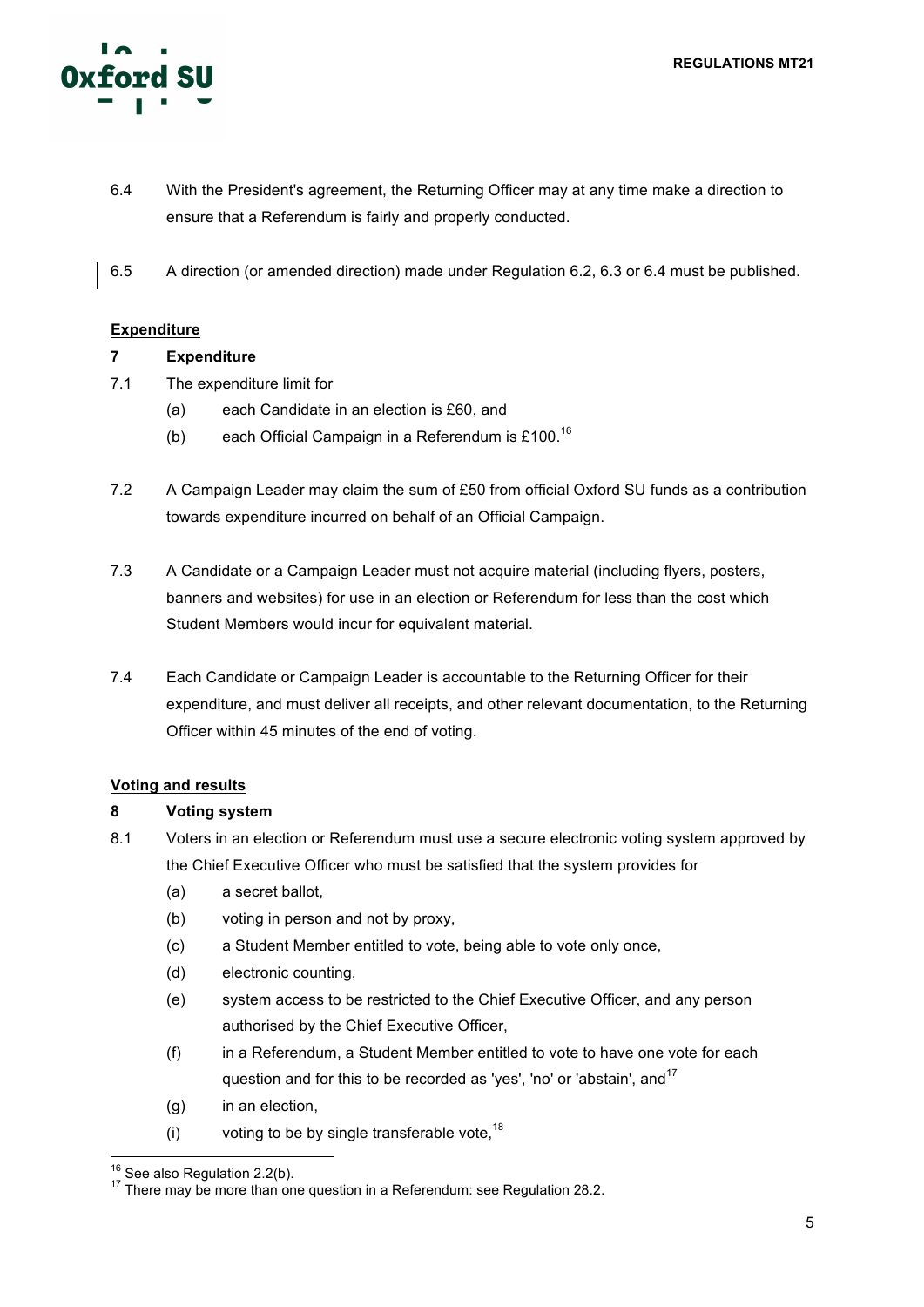

- 6.4 With the President's agreement, the Returning Officer may at any time make a direction to ensure that a Referendum is fairly and properly conducted.
- 6.5 A direction (or amended direction) made under Regulation 6.2, 6.3 or 6.4 must be published.

# **Expenditure**

# **7 Expenditure**

- 7.1 The expenditure limit for
	- (a) each Candidate in an election is £60, and
	- (b) each Official Campaign in a Referendum is £100.<sup>16</sup>
- 7.2 A Campaign Leader may claim the sum of £50 from official Oxford SU funds as a contribution towards expenditure incurred on behalf of an Official Campaign.
- 7.3 A Candidate or a Campaign Leader must not acquire material (including flyers, posters, banners and websites) for use in an election or Referendum for less than the cost which Student Members would incur for equivalent material.
- 7.4 Each Candidate or Campaign Leader is accountable to the Returning Officer for their expenditure, and must deliver all receipts, and other relevant documentation, to the Returning Officer within 45 minutes of the end of voting.

# **Voting and results**

# **8 Voting system**

- 8.1 Voters in an election or Referendum must use a secure electronic voting system approved by the Chief Executive Officer who must be satisfied that the system provides for
	- (a) a secret ballot,
	- (b) voting in person and not by proxy,
	- (c) a Student Member entitled to vote, being able to vote only once,
	- (d) electronic counting,
	- (e) system access to be restricted to the Chief Executive Officer, and any person authorised by the Chief Executive Officer,
	- (f) in a Referendum, a Student Member entitled to vote to have one vote for each question and for this to be recorded as 'yes', 'no' or 'abstain', and<sup>17</sup>
	- (g) in an election,
	- (i) voting to be by single transferable vote,  $18$

<sup>&</sup>lt;sup>16</sup> See also Regulation 2.2(b).  $17$  There may be more than one question in a Referendum: see Regulation 28.2.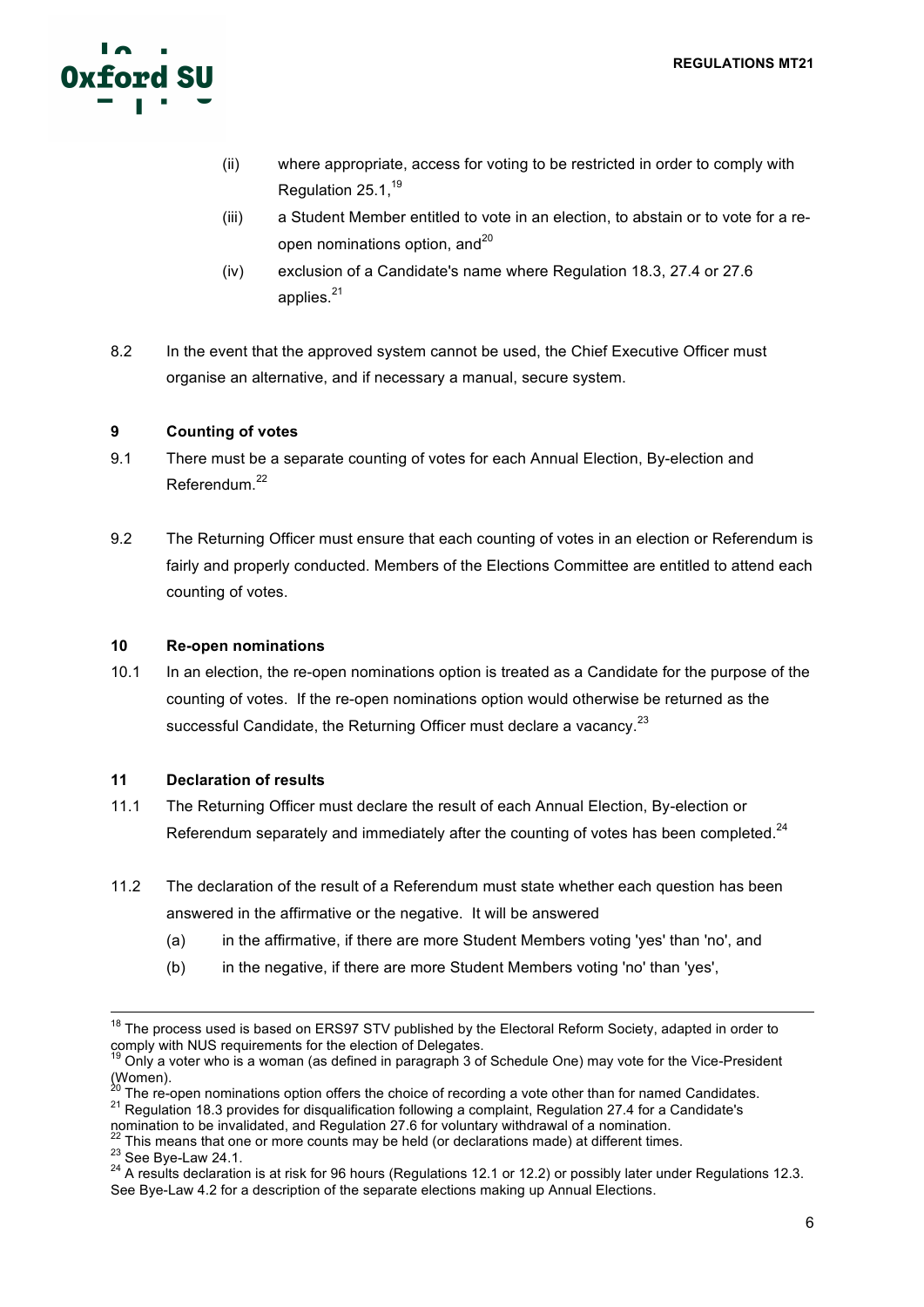

- (ii) where appropriate, access for voting to be restricted in order to comply with Regulation 25.1.<sup>19</sup>
- (iii) a Student Member entitled to vote in an election, to abstain or to vote for a reopen nominations option, and $^{20}$
- (iv) exclusion of a Candidate's name where Regulation 18.3, 27.4 or 27.6 applies. $21$
- 8.2 In the event that the approved system cannot be used, the Chief Executive Officer must organise an alternative, and if necessary a manual, secure system.

# **9 Counting of votes**

- 9.1 There must be a separate counting of votes for each Annual Election, By-election and Referendum.<sup>22</sup>
- 9.2 The Returning Officer must ensure that each counting of votes in an election or Referendum is fairly and properly conducted. Members of the Elections Committee are entitled to attend each counting of votes.

#### **10 Re-open nominations**

10.1 In an election, the re-open nominations option is treated as a Candidate for the purpose of the counting of votes. If the re-open nominations option would otherwise be returned as the successful Candidate, the Returning Officer must declare a vacancy.<sup>23</sup>

# **11 Declaration of results**

- 11.1 The Returning Officer must declare the result of each Annual Election, By-election or Referendum separately and immediately after the counting of votes has been completed. $^{24}$
- 11.2 The declaration of the result of a Referendum must state whether each question has been answered in the affirmative or the negative. It will be answered
	- (a) in the affirmative, if there are more Student Members voting 'yes' than 'no', and
	- (b) in the negative, if there are more Student Members voting 'no' than 'yes',

 $18$  The process used is based on ERS97 STV published by the Electoral Reform Society, adapted in order to comply with NUS requirements for the election of Delegates.

 $19$  Only a voter who is a woman (as defined in paragraph 3 of Schedule One) may vote for the Vice-President (Women).<br> $\frac{1}{20}$  The re-open nominations option offers the choice of recording a vote other than for named Candidates.

 $21$  Regulation 18.3 provides for disqualification following a complaint, Regulation 27.4 for a Candidate's

nomination to be invalidated, and Regulation 27.6 for voluntary withdrawal of a nomination.<br>
<sup>22</sup> This means that one or more counts may be held (or declarations made) at different times.<br>
<sup>23</sup> See Bye-Law 24.1.<br>
<sup>24</sup> A re See Bye-Law 4.2 for a description of the separate elections making up Annual Elections.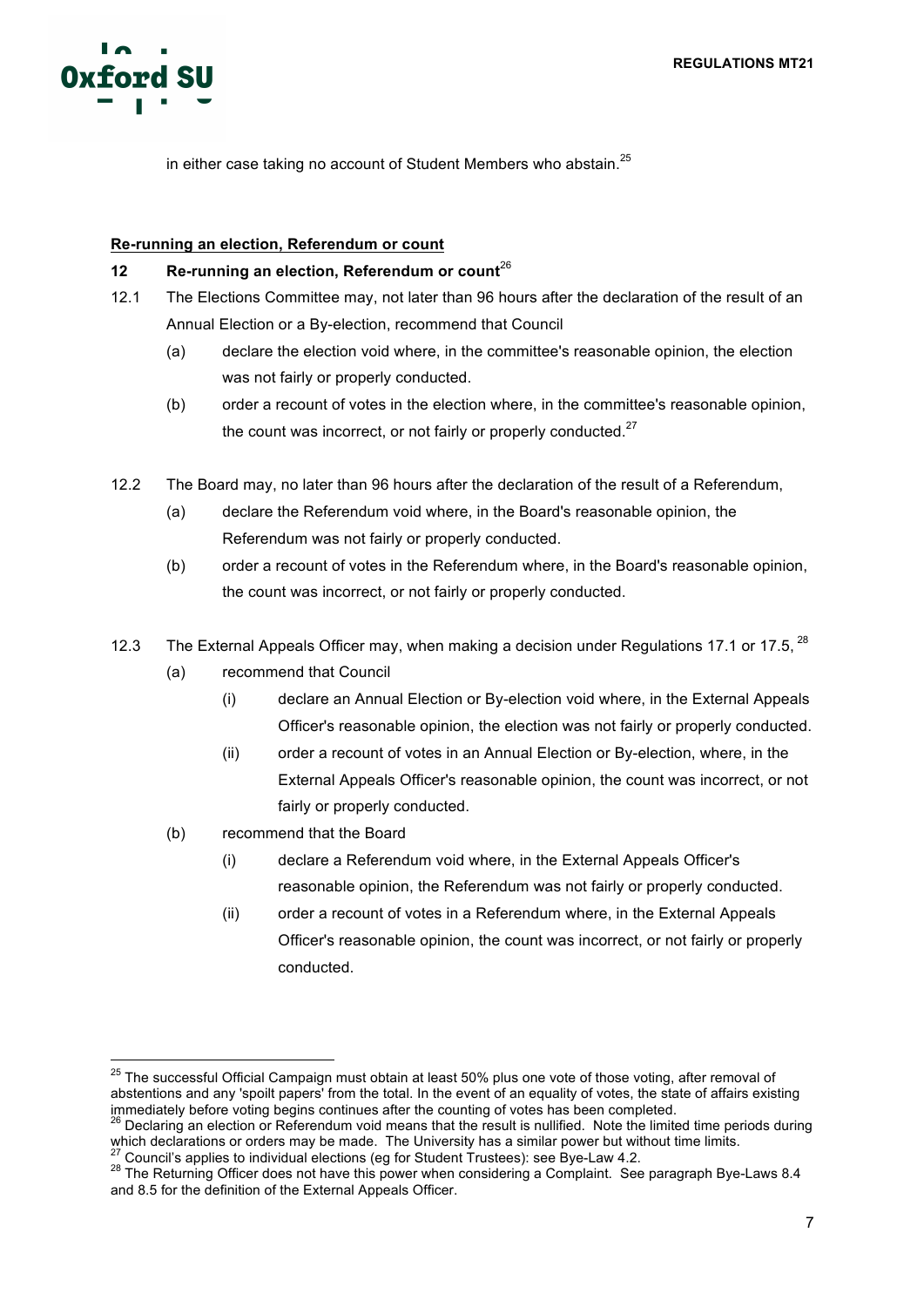

in either case taking no account of Student Members who abstain.<sup>25</sup>

#### **Re-running an election, Referendum or count**

#### **12 Re-running an election, Referendum or count** 26

- 12.1 The Elections Committee may, not later than 96 hours after the declaration of the result of an Annual Election or a By-election, recommend that Council
	- (a) declare the election void where, in the committee's reasonable opinion, the election was not fairly or properly conducted.
	- (b) order a recount of votes in the election where, in the committee's reasonable opinion, the count was incorrect, or not fairly or properly conducted.<sup>27</sup>
- 12.2 The Board may, no later than 96 hours after the declaration of the result of a Referendum,
	- (a) declare the Referendum void where, in the Board's reasonable opinion, the Referendum was not fairly or properly conducted.
	- (b) order a recount of votes in the Referendum where, in the Board's reasonable opinion, the count was incorrect, or not fairly or properly conducted.
- 12.3 The External Appeals Officer may, when making a decision under Regulations 17.1 or 17.5,  $^{28}$ 
	- (a) recommend that Council
		- (i) declare an Annual Election or By-election void where, in the External Appeals Officer's reasonable opinion, the election was not fairly or properly conducted.
		- (ii) order a recount of votes in an Annual Election or By-election, where, in the External Appeals Officer's reasonable opinion, the count was incorrect, or not fairly or properly conducted.
	- (b) recommend that the Board
		- (i) declare a Referendum void where, in the External Appeals Officer's reasonable opinion, the Referendum was not fairly or properly conducted.
		- (ii) order a recount of votes in a Referendum where, in the External Appeals Officer's reasonable opinion, the count was incorrect, or not fairly or properly conducted.

<sup>&</sup>lt;sup>25</sup> The successful Official Campaign must obtain at least 50% plus one vote of those voting, after removal of abstentions and any 'spoilt papers' from the total. In the event of an equality of votes, the state of affairs existing immediately before voting begins continues after the counting of votes has been completed.

<sup>26</sup> Declaring an election or Referendum void means that the result is nullified. Note the limited time periods during which declarations or orders may be made. The University has a similar power but without time limits.<br><sup>27</sup> Council's applies to individual elections (eg for Student Trustees): see Bye-Law 4.2.

<sup>&</sup>lt;sup>28</sup> The Returning Officer does not have this power when considering a Complaint. See paragraph Bye-Laws 8.4 and 8.5 for the definition of the External Appeals Officer.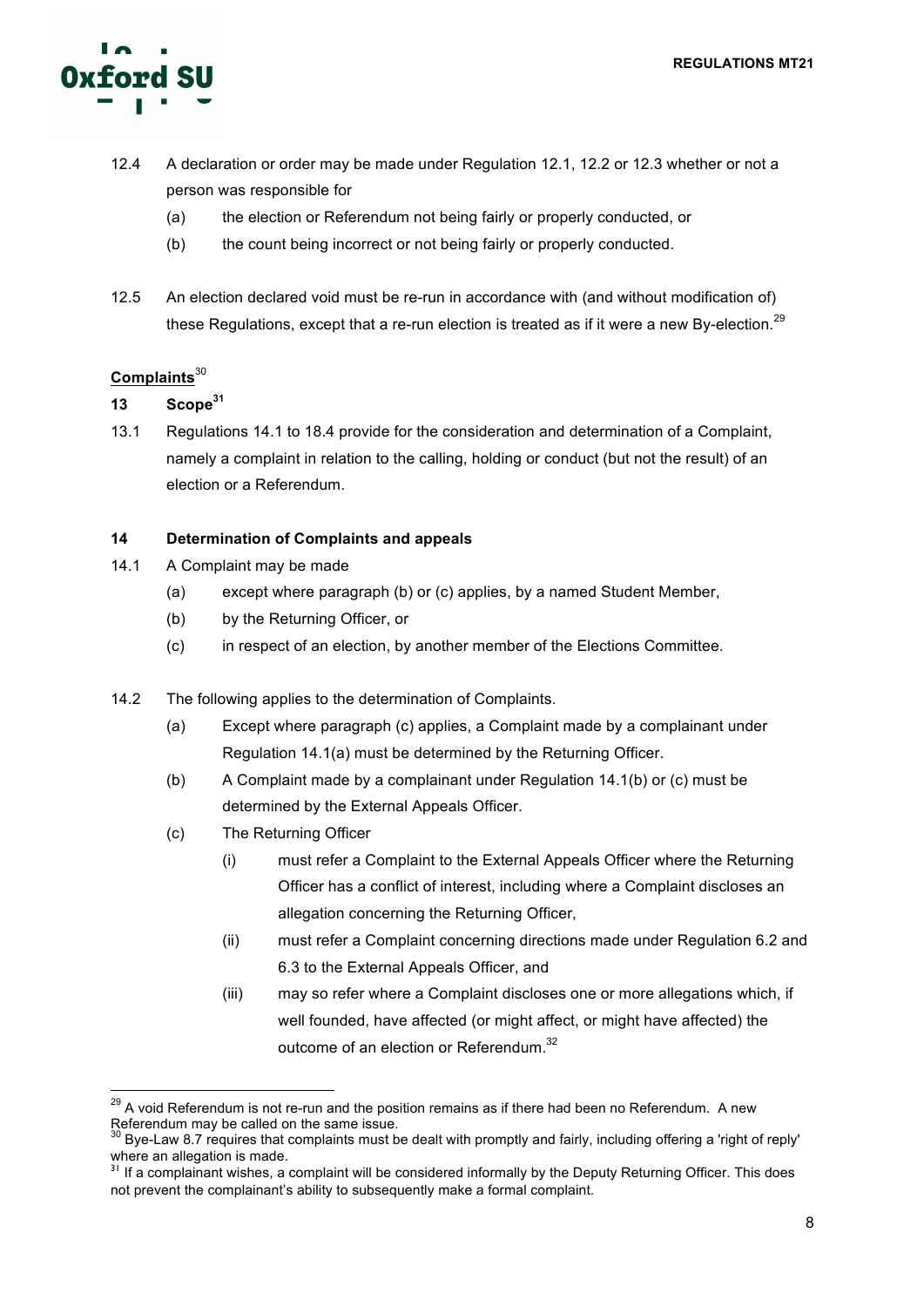

- 12.4 A declaration or order may be made under Regulation 12.1, 12.2 or 12.3 whether or not a person was responsible for
	- (a) the election or Referendum not being fairly or properly conducted, or
	- (b) the count being incorrect or not being fairly or properly conducted.
- 12.5 An election declared void must be re-run in accordance with (and without modification of) these Regulations, except that a re-run election is treated as if it were a new By-election.<sup>29</sup>

# **Complaints**<sup>30</sup>

- **13 Scope<sup>31</sup>**
- 13.1 Regulations 14.1 to 18.4 provide for the consideration and determination of a Complaint, namely a complaint in relation to the calling, holding or conduct (but not the result) of an election or a Referendum.

# **14 Determination of Complaints and appeals**

- 14.1 A Complaint may be made
	- (a) except where paragraph (b) or (c) applies, by a named Student Member,
	- (b) by the Returning Officer, or
	- (c) in respect of an election, by another member of the Elections Committee.
- 14.2 The following applies to the determination of Complaints.
	- (a) Except where paragraph (c) applies, a Complaint made by a complainant under Regulation 14.1(a) must be determined by the Returning Officer.
	- (b) A Complaint made by a complainant under Regulation 14.1(b) or (c) must be determined by the External Appeals Officer.
	- (c) The Returning Officer
		- (i) must refer a Complaint to the External Appeals Officer where the Returning Officer has a conflict of interest, including where a Complaint discloses an allegation concerning the Returning Officer,
		- (ii) must refer a Complaint concerning directions made under Regulation 6.2 and 6.3 to the External Appeals Officer, and
		- (iii) may so refer where a Complaint discloses one or more allegations which, if well founded, have affected (or might affect, or might have affected) the outcome of an election or Referendum.<sup>32</sup>

 $29$  A void Referendum is not re-run and the position remains as if there had been no Referendum. A new Referendum may be called on the same issue.<br> $30$  Bye-Law 8.7 requires that complaints must be dealt with promptly and fairly, including offering a 'right of reply'

where an allegation is made.

<sup>&</sup>lt;sup>31</sup> If a complainant wishes, a complaint will be considered informally by the Deputy Returning Officer. This does not prevent the complainant's ability to subsequently make a formal complaint.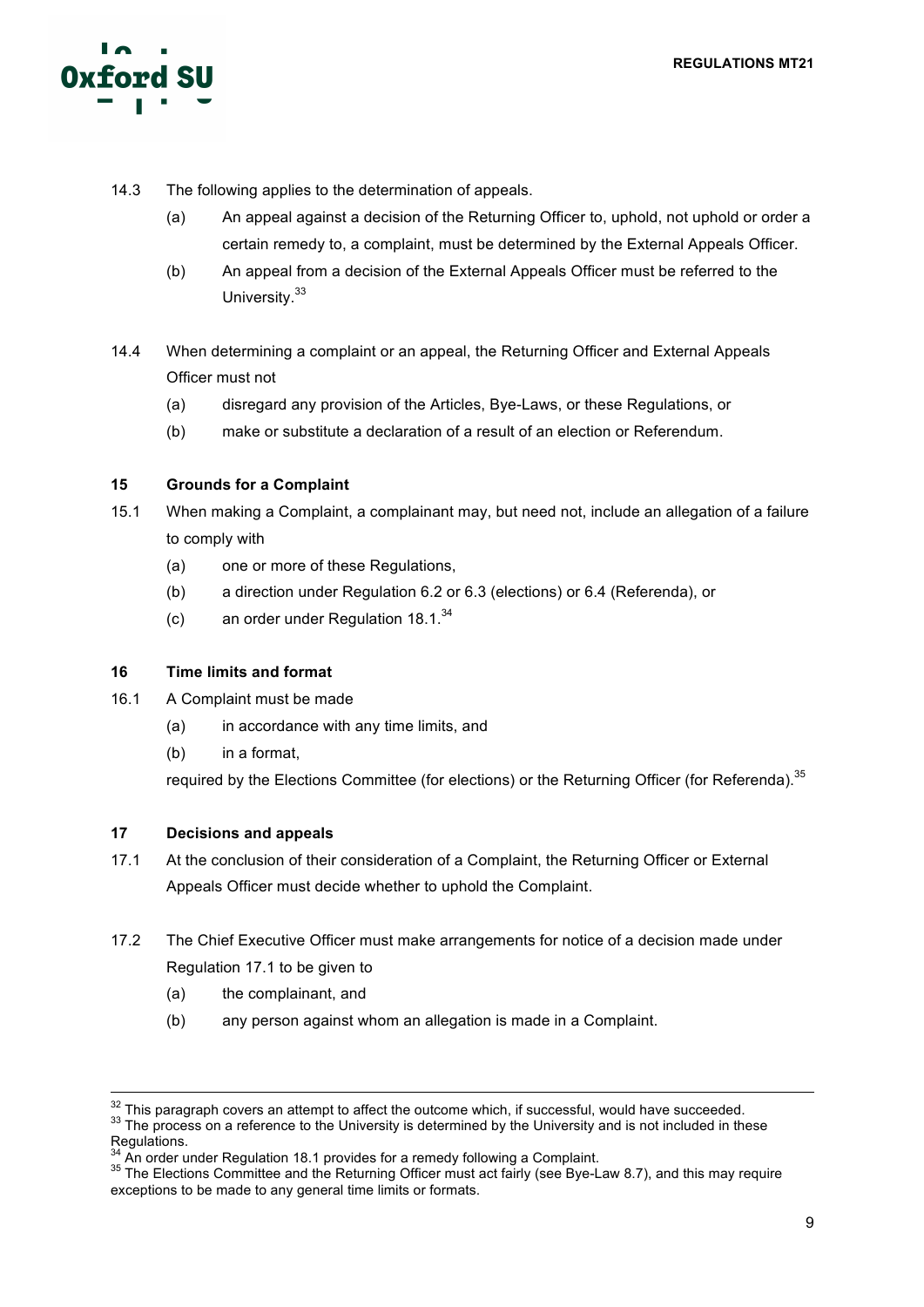

- 14.3 The following applies to the determination of appeals.
	- (a) An appeal against a decision of the Returning Officer to, uphold, not uphold or order a certain remedy to, a complaint, must be determined by the External Appeals Officer.
	- (b) An appeal from a decision of the External Appeals Officer must be referred to the University.<sup>33</sup>
- 14.4 When determining a complaint or an appeal, the Returning Officer and External Appeals Officer must not
	- (a) disregard any provision of the Articles, Bye-Laws, or these Regulations, or
	- (b) make or substitute a declaration of a result of an election or Referendum.

# **15 Grounds for a Complaint**

- 15.1 When making a Complaint, a complainant may, but need not, include an allegation of a failure to comply with
	- (a) one or more of these Regulations,
	- (b) a direction under Regulation 6.2 or 6.3 (elections) or 6.4 (Referenda), or
	- (c) an order under Regulation  $18.1^{34}$

# **16 Time limits and format**

- 16.1 A Complaint must be made
	- (a) in accordance with any time limits, and
	- (b) in a format,

required by the Elections Committee (for elections) or the Returning Officer (for Referenda).<sup>35</sup>

# **17 Decisions and appeals**

- 17.1 At the conclusion of their consideration of a Complaint, the Returning Officer or External Appeals Officer must decide whether to uphold the Complaint.
- 17.2 The Chief Executive Officer must make arrangements for notice of a decision made under Regulation 17.1 to be given to
	- (a) the complainant, and
	- (b) any person against whom an allegation is made in a Complaint.

 $32$  This paragraph covers an attempt to affect the outcome which, if successful, would have succeeded.<br> $33$  The process on a reference to the University is determined by the University and is not included in these

Regulations.<br>
Regulations.<br>
<sup>34</sup> An order under Regulation 18.1 provides for a remedy following a Complaint.

<sup>&</sup>lt;sup>35</sup> The Elections Committee and the Returning Officer must act fairly (see Bye-Law 8.7), and this may require exceptions to be made to any general time limits or formats.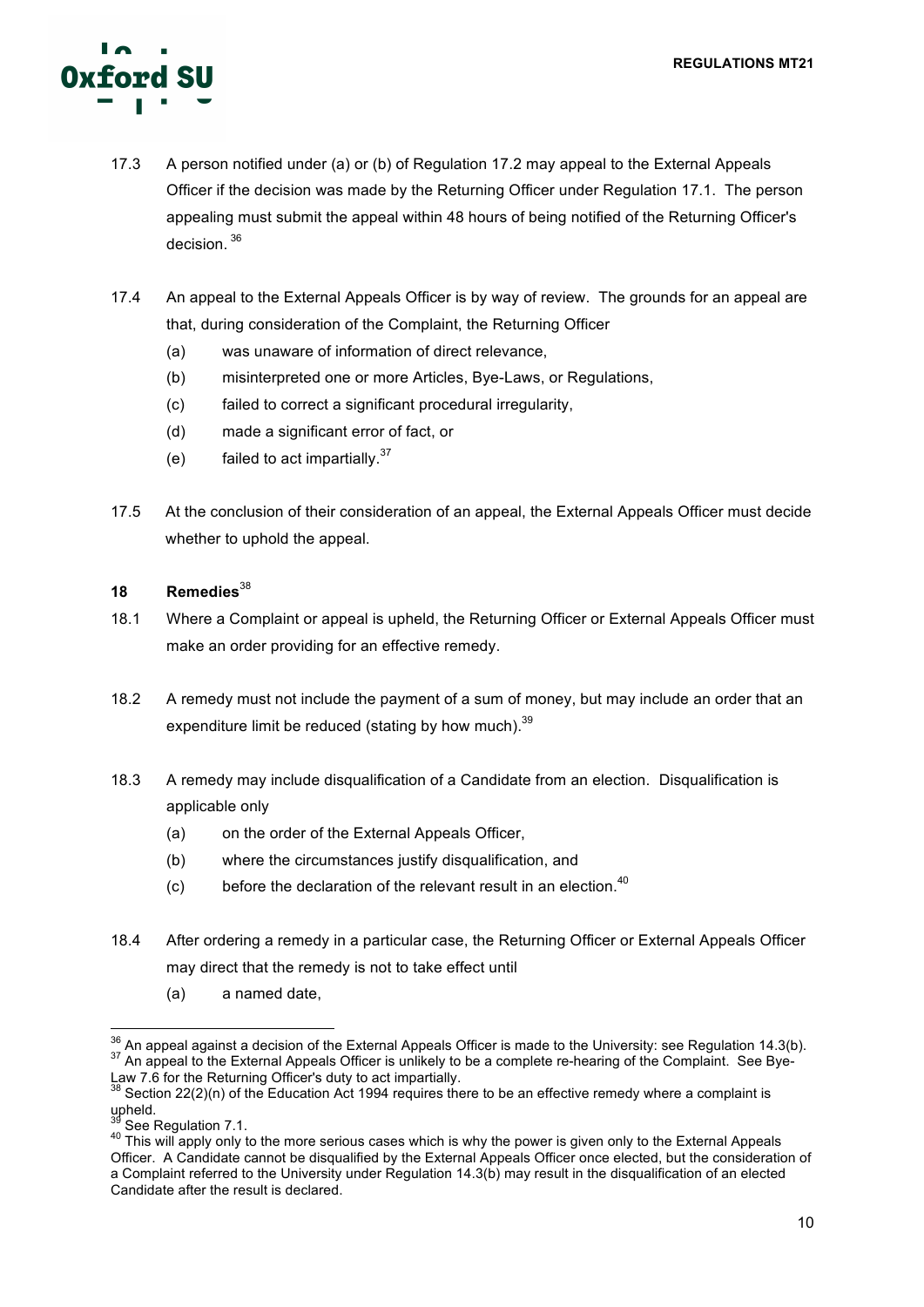

- 17.3 A person notified under (a) or (b) of Regulation 17.2 may appeal to the External Appeals Officer if the decision was made by the Returning Officer under Regulation 17.1. The person appealing must submit the appeal within 48 hours of being notified of the Returning Officer's decision.<sup>36</sup>
- 17.4 An appeal to the External Appeals Officer is by way of review. The grounds for an appeal are that, during consideration of the Complaint, the Returning Officer
	- (a) was unaware of information of direct relevance,
	- (b) misinterpreted one or more Articles, Bye-Laws, or Regulations,
	- (c) failed to correct a significant procedural irregularity,
	- (d) made a significant error of fact, or
	- (e) failed to act impartially. $37$
- 17.5 At the conclusion of their consideration of an appeal, the External Appeals Officer must decide whether to uphold the appeal.

# **18 Remedies**<sup>38</sup>

- 18.1 Where a Complaint or appeal is upheld, the Returning Officer or External Appeals Officer must make an order providing for an effective remedy.
- 18.2 A remedy must not include the payment of a sum of money, but may include an order that an expenditure limit be reduced (stating by how much).<sup>39</sup>
- 18.3 A remedy may include disqualification of a Candidate from an election. Disqualification is applicable only
	- (a) on the order of the External Appeals Officer,
	- (b) where the circumstances justify disqualification, and
	- $(c)$  before the declaration of the relevant result in an election.<sup>40</sup>
- 18.4 After ordering a remedy in a particular case, the Returning Officer or External Appeals Officer may direct that the remedy is not to take effect until
	- (a) a named date,

 $36$  An appeal against a decision of the External Appeals Officer is made to the University: see Regulation 14.3(b).<br> $37$  An appeal to the External Appeals Officer is unlikely to be a complete re-hearing of the Complaint. Law 7.6 for the Returning Officer's duty to act impartially.

 $38$  Section 22(2)(n) of the Education Act 1994 requires there to be an effective remedy where a complaint is upheld.

<sup>39</sup> See Regulation 7.1.<br><sup>40</sup> This will apply only to the more serious cases which is why the power is given only to the External Appeals Officer. A Candidate cannot be disqualified by the External Appeals Officer once elected, but the consideration of a Complaint referred to the University under Regulation 14.3(b) may result in the disqualification of an elected Candidate after the result is declared.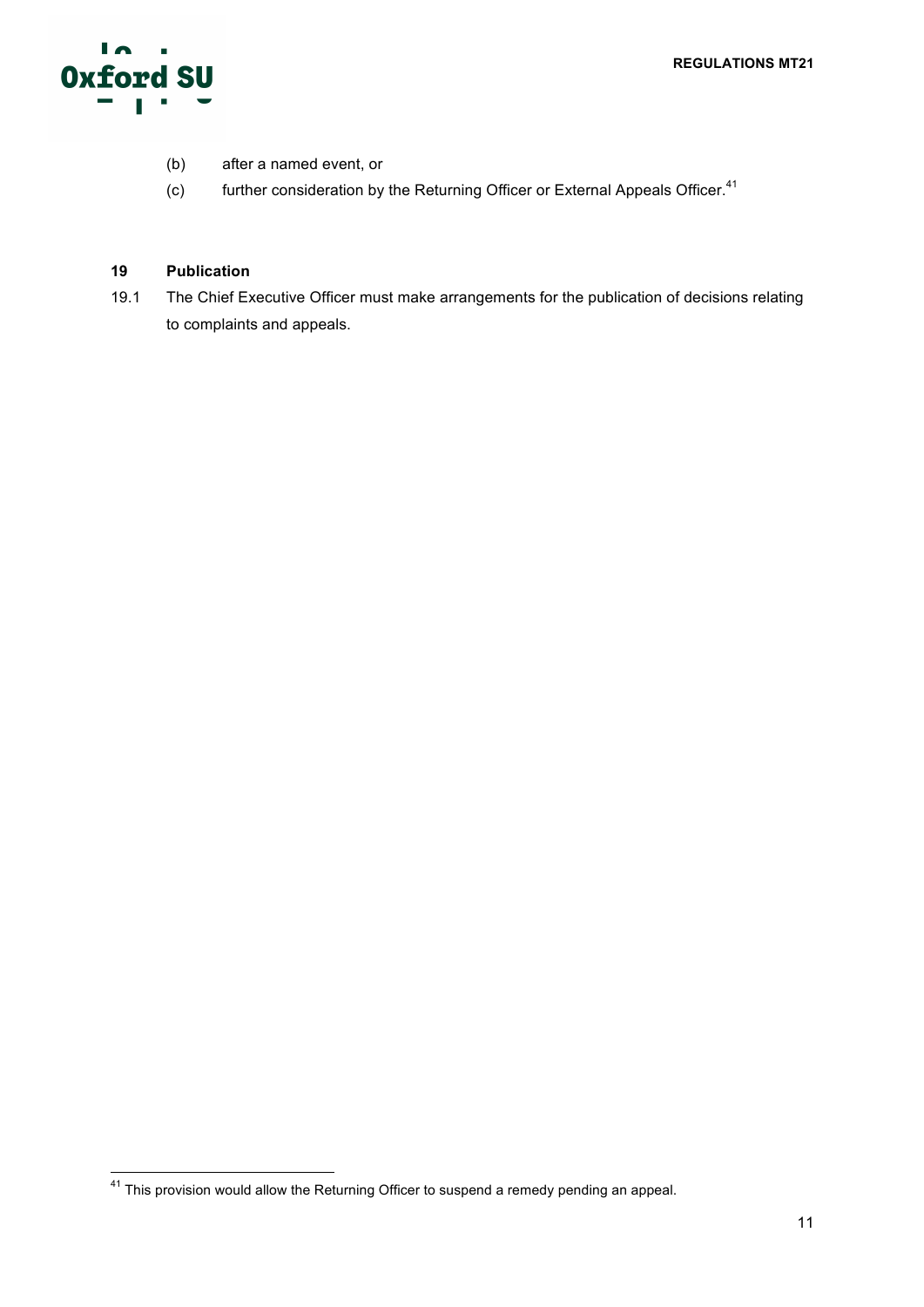

- (b) after a named event, or
- (c) further consideration by the Returning Officer or External Appeals Officer.<sup>41</sup>

# **19 Publication**

19.1 The Chief Executive Officer must make arrangements for the publication of decisions relating to complaints and appeals.

<sup>41</sup> This provision would allow the Returning Officer to suspend a remedy pending an appeal.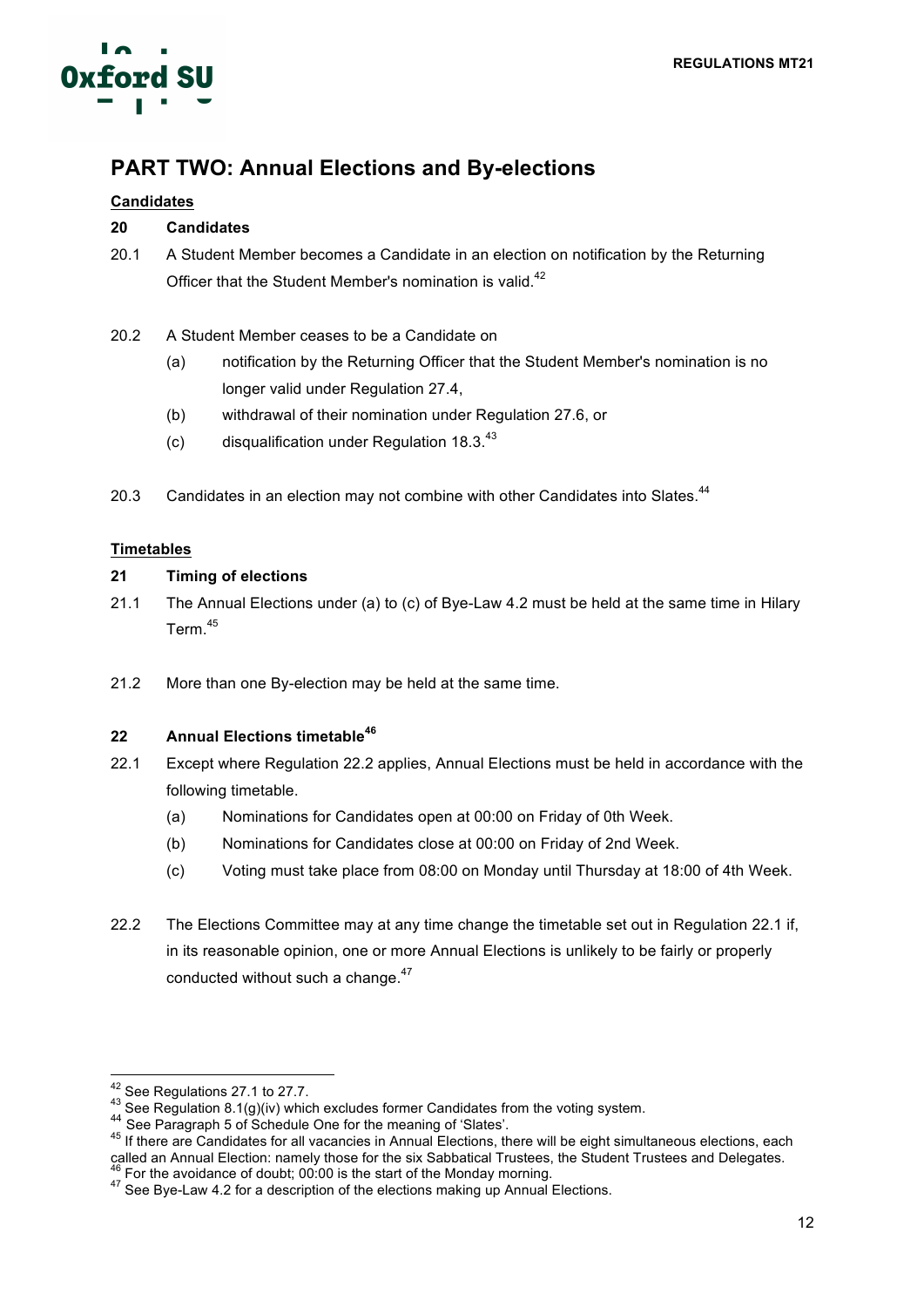

# **PART TWO: Annual Elections and By-elections**

# **Candidates**

# **20 Candidates**

- 20.1 A Student Member becomes a Candidate in an election on notification by the Returning Officer that the Student Member's nomination is valid.<sup>42</sup>
- 20.2 A Student Member ceases to be a Candidate on
	- (a) notification by the Returning Officer that the Student Member's nomination is no longer valid under Regulation 27.4,
	- (b) withdrawal of their nomination under Regulation 27.6, or
	- (c) disqualification under Regulation  $18.3^{43}$
- 20.3 Candidates in an election may not combine with other Candidates into Slates.<sup>44</sup>

# **Timetables**

# **21 Timing of elections**

- 21.1 The Annual Elections under (a) to (c) of Bye-Law 4.2 must be held at the same time in Hilary Term. 45
- 21.2 More than one By-election may be held at the same time.

# **22 Annual Elections timetable<sup>46</sup>**

- 22.1 Except where Regulation 22.2 applies, Annual Elections must be held in accordance with the following timetable.
	- (a) Nominations for Candidates open at 00:00 on Friday of 0th Week.
	- (b) Nominations for Candidates close at 00:00 on Friday of 2nd Week.
	- (c) Voting must take place from 08:00 on Monday until Thursday at 18:00 of 4th Week.
- 22.2 The Elections Committee may at any time change the timetable set out in Regulation 22.1 if, in its reasonable opinion, one or more Annual Elections is unlikely to be fairly or properly conducted without such a change.<sup>47</sup>

<sup>&</sup>lt;sup>42</sup> See Regulations 27.1 to 27.7.<br>
<sup>43</sup> See Regulation 8.1(g)(iv) which excludes former Candidates from the voting system.<br>
<sup>44</sup> See Paragraph 5 of Schedule One for the meaning of 'Slates'.<br>
<sup>45</sup> If there are Candidates called an Annual Election: namely those for the six Sabbatical Trustees, the Student Trustees and Delegates.<br><sup>46</sup> For the avoidance of doubt; 00:00 is the start of the Monday morning.<br><sup>47</sup> See Bye-Law 4.2 for a description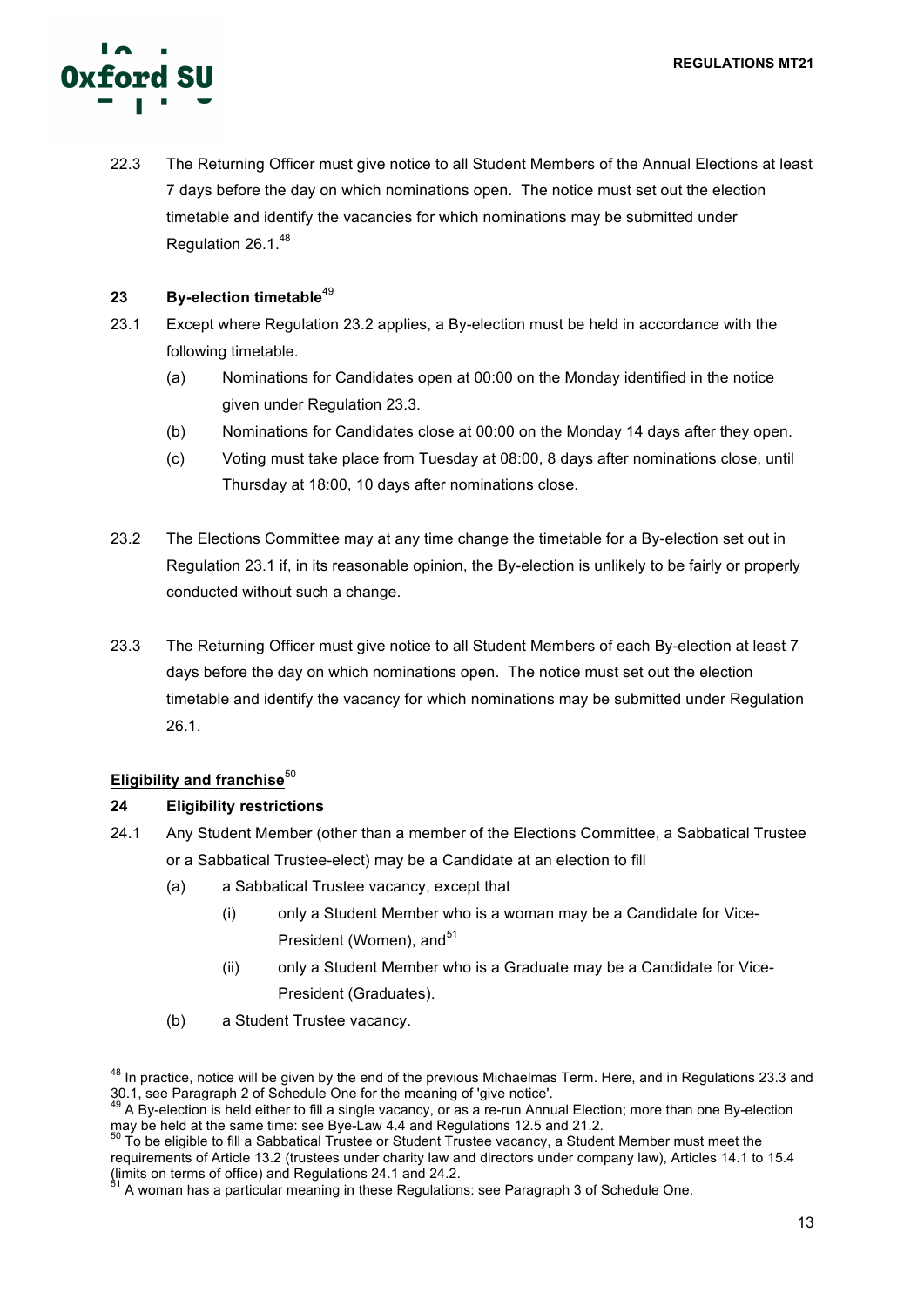

22.3 The Returning Officer must give notice to all Student Members of the Annual Elections at least 7 days before the day on which nominations open. The notice must set out the election timetable and identify the vacancies for which nominations may be submitted under Regulation 26.1. 48

# **23 By-election timetable**<sup>49</sup>

- 23.1 Except where Regulation 23.2 applies, a By-election must be held in accordance with the following timetable.
	- (a) Nominations for Candidates open at 00:00 on the Monday identified in the notice given under Regulation 23.3.
	- (b) Nominations for Candidates close at 00:00 on the Monday 14 days after they open.
	- (c) Voting must take place from Tuesday at 08:00, 8 days after nominations close, until Thursday at 18:00, 10 days after nominations close.
- 23.2 The Elections Committee may at any time change the timetable for a By-election set out in Regulation 23.1 if, in its reasonable opinion, the By-election is unlikely to be fairly or properly conducted without such a change.
- 23.3 The Returning Officer must give notice to all Student Members of each By-election at least 7 days before the day on which nominations open. The notice must set out the election timetable and identify the vacancy for which nominations may be submitted under Regulation 26.1.

# **Eligibility and franchise**<sup>50</sup>

# **24 Eligibility restrictions**

- 24.1 Any Student Member (other than a member of the Elections Committee, a Sabbatical Trustee or a Sabbatical Trustee-elect) may be a Candidate at an election to fill
	- (a) a Sabbatical Trustee vacancy, except that
		- (i) only a Student Member who is a woman may be a Candidate for Vice-President (Women), and<sup>51</sup>
		- (ii) only a Student Member who is a Graduate may be a Candidate for Vice-President (Graduates).
	- (b) a Student Trustee vacancy.

<sup>&</sup>lt;sup>48</sup> In practice, notice will be given by the end of the previous Michaelmas Term. Here, and in Regulations 23.3 and 30.1, see Paragraph 2 of Schedule One for the meaning of 'give notice'.

<sup>&</sup>lt;sup>49</sup> A By-election is held either to fill a single vacancy, or as a re-run Annual Election; more than one By-election may be held at the same time: see Bye-Law 4.4 and Regulations 12.5 and 21.2.<br><sup>50</sup> To be eligible to fill a Sabbatical Trustee or Student Trustee vacancy, a Student Member must meet the

requirements of Article 13.2 (trustees under charity law and directors under company law), Articles 14.1 to 15.4 (limits on terms of office) and Regulations 24.1 and 24.2.

<sup>51</sup> A woman has a particular meaning in these Regulations: see Paragraph 3 of Schedule One.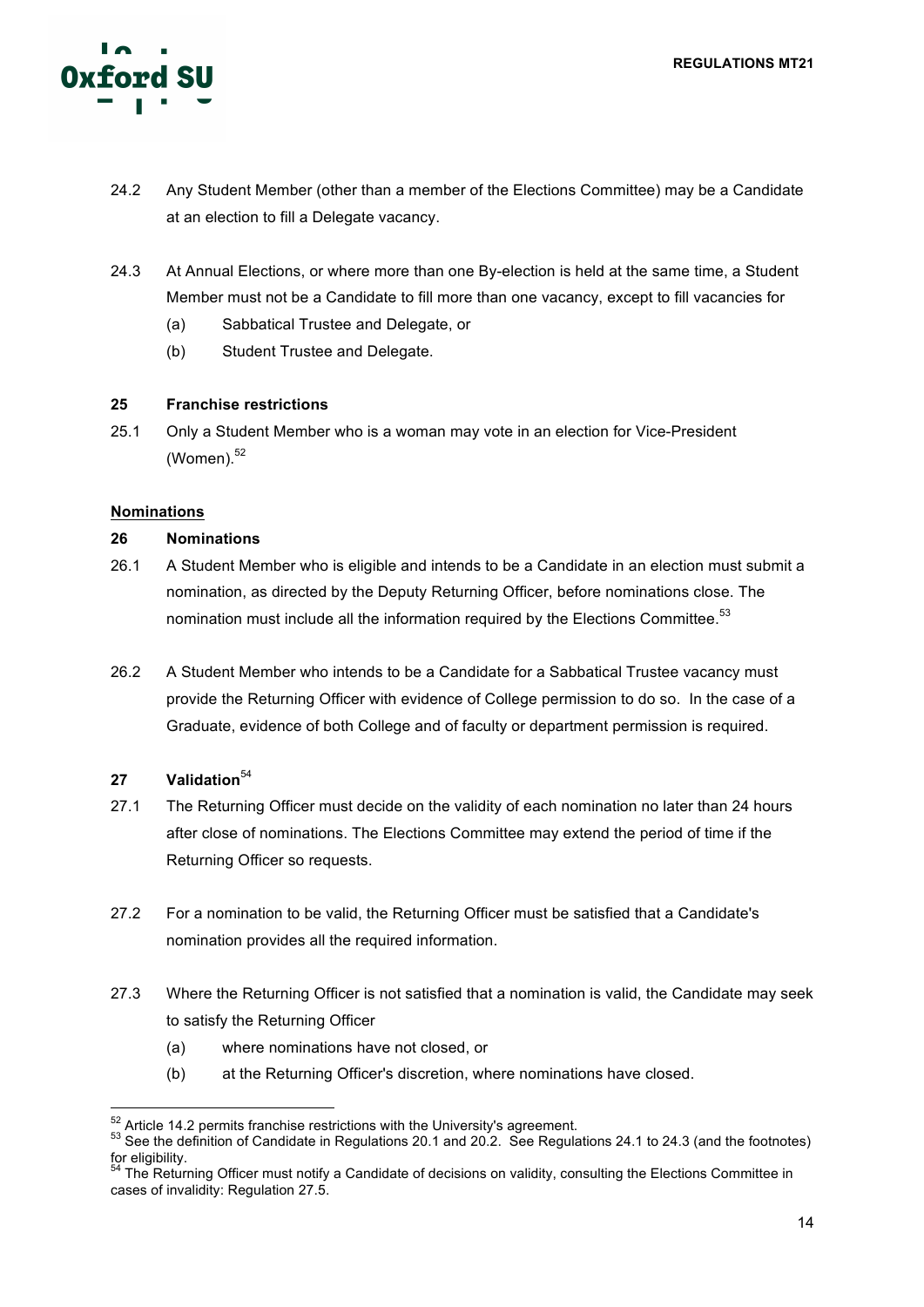

- 24.2 Any Student Member (other than a member of the Elections Committee) may be a Candidate at an election to fill a Delegate vacancy.
- 24.3 At Annual Elections, or where more than one By-election is held at the same time, a Student Member must not be a Candidate to fill more than one vacancy, except to fill vacancies for
	- (a) Sabbatical Trustee and Delegate, or
	- (b) Student Trustee and Delegate.

# **25 Franchise restrictions**

25.1 Only a Student Member who is a woman may vote in an election for Vice-President  $(Women)^{52}$ 

# **Nominations**

# **26 Nominations**

- 26.1 A Student Member who is eligible and intends to be a Candidate in an election must submit a nomination, as directed by the Deputy Returning Officer, before nominations close. The nomination must include all the information required by the Elections Committee.<sup>53</sup>
- 26.2 A Student Member who intends to be a Candidate for a Sabbatical Trustee vacancy must provide the Returning Officer with evidence of College permission to do so. In the case of a Graduate, evidence of both College and of faculty or department permission is required.

# 27 **Validation**<sup>54</sup>

- 27.1 The Returning Officer must decide on the validity of each nomination no later than 24 hours after close of nominations. The Elections Committee may extend the period of time if the Returning Officer so requests.
- 27.2 For a nomination to be valid, the Returning Officer must be satisfied that a Candidate's nomination provides all the required information.
- 27.3 Where the Returning Officer is not satisfied that a nomination is valid, the Candidate may seek to satisfy the Returning Officer
	- (a) where nominations have not closed, or
	- (b) at the Returning Officer's discretion, where nominations have closed.

 $52$  Article 14.2 permits franchise restrictions with the University's agreement.<br> $53$  See the definition of Candidate in Regulations 20.1 and 20.2. See Regulations 24.1 to 24.3 (and the footnotes) for eligibility.

<sup>&</sup>lt;sup>54</sup> The Returning Officer must notify a Candidate of decisions on validity, consulting the Elections Committee in cases of invalidity: Regulation 27.5.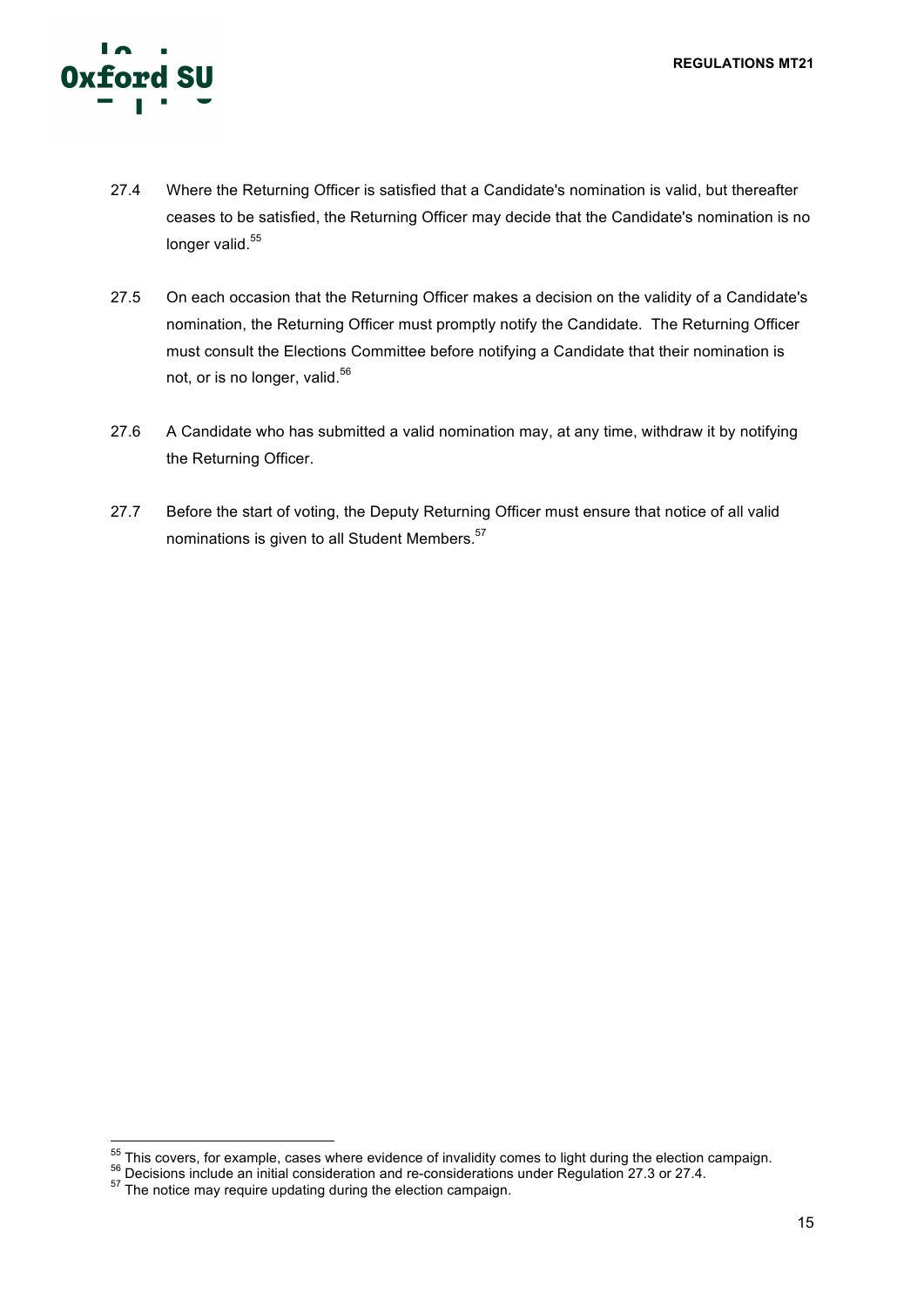

- 27.4 Where the Returning Officer is satisfied that a Candidate's nomination is valid, but thereafter ceases to be satisfied, the Returning Officer may decide that the Candidate's nomination is no longer valid.<sup>55</sup>
- 27.5 On each occasion that the Returning Officer makes a decision on the validity of a Candidate's nomination, the Returning Officer must promptly notify the Candidate. The Returning Officer must consult the Elections Committee before notifying a Candidate that their nomination is not, or is no longer, valid.<sup>56</sup>
- 27.6 A Candidate who has submitted a valid nomination may, at any time, withdraw it by notifying the Returning Officer.
- 27.7 Before the start of voting, the Deputy Returning Officer must ensure that notice of all valid nominations is given to all Student Members.<sup>57</sup>

 $^{55}$  This covers, for example, cases where evidence of invalidity comes to light during the election campaign.<br> $^{56}$  Decisions include an initial consideration and re-considerations under Regulation 27.3 or 27.4.<br> $^{57}$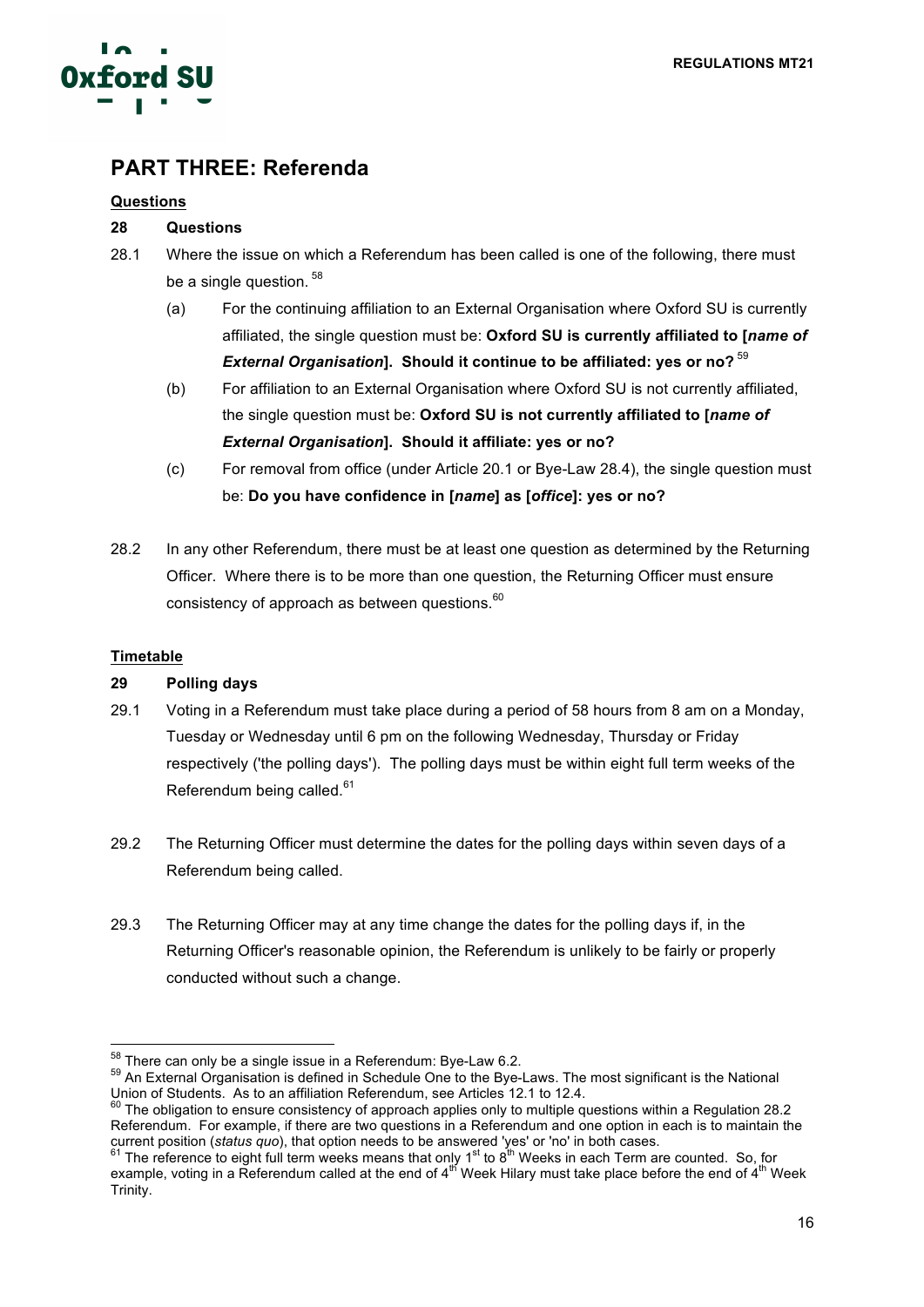

# **PART THREE: Referenda**

# **Questions**

# **28 Questions**

- 28.1 Where the issue on which a Referendum has been called is one of the following, there must be a single question.<sup>58</sup>
	- (a) For the continuing affiliation to an External Organisation where Oxford SU is currently affiliated, the single question must be: **Oxford SU is currently affiliated to [***name of External Organisation***]. Should it continue to be affiliated: yes or no?** <sup>59</sup>
	- (b) For affiliation to an External Organisation where Oxford SU is not currently affiliated, the single question must be: **Oxford SU is not currently affiliated to [***name of External Organisation***]. Should it affiliate: yes or no?**
	- (c) For removal from office (under Article 20.1 or Bye-Law 28.4), the single question must be: **Do you have confidence in [***name***] as [***office***]: yes or no?**
- 28.2 In any other Referendum, there must be at least one question as determined by the Returning Officer. Where there is to be more than one question, the Returning Officer must ensure consistency of approach as between questions.<sup>60</sup>

# **Timetable**

# **29 Polling days**

- 29.1 Voting in a Referendum must take place during a period of 58 hours from 8 am on a Monday, Tuesday or Wednesday until 6 pm on the following Wednesday, Thursday or Friday respectively ('the polling days'). The polling days must be within eight full term weeks of the Referendum being called.<sup>61</sup>
- 29.2 The Returning Officer must determine the dates for the polling days within seven days of a Referendum being called.
- 29.3 The Returning Officer may at any time change the dates for the polling days if, in the Returning Officer's reasonable opinion, the Referendum is unlikely to be fairly or properly conducted without such a change.

 $58$  There can only be a single issue in a Referendum: Bye-Law 6.2.<br> $59$  An External Organisation is defined in Schedule One to the Bye-Laws. The most significant is the National Union of Students. As to an affiliation Referendum, see Articles 12.1 to 12.4.<br><sup>60</sup> The obligation to ensure consistency of approach applies only to multiple questions within a Regulation 28.2

Referendum. For example, if there are two questions in a Referendum and one option in each is to maintain the current position (*status quo*), that option needs to be answered 'yes' or 'no' in both cases.<br><sup>61</sup> The reference to eight full term weeks means that only 1<sup>st</sup> to 8<sup>th</sup> Weeks in each Term are counted. So, for

example, voting in a Referendum called at the end of  $4^{\text{th}}$  Week Hilary must take place before the end of  $4^{\text{th}}$  Week Trinity.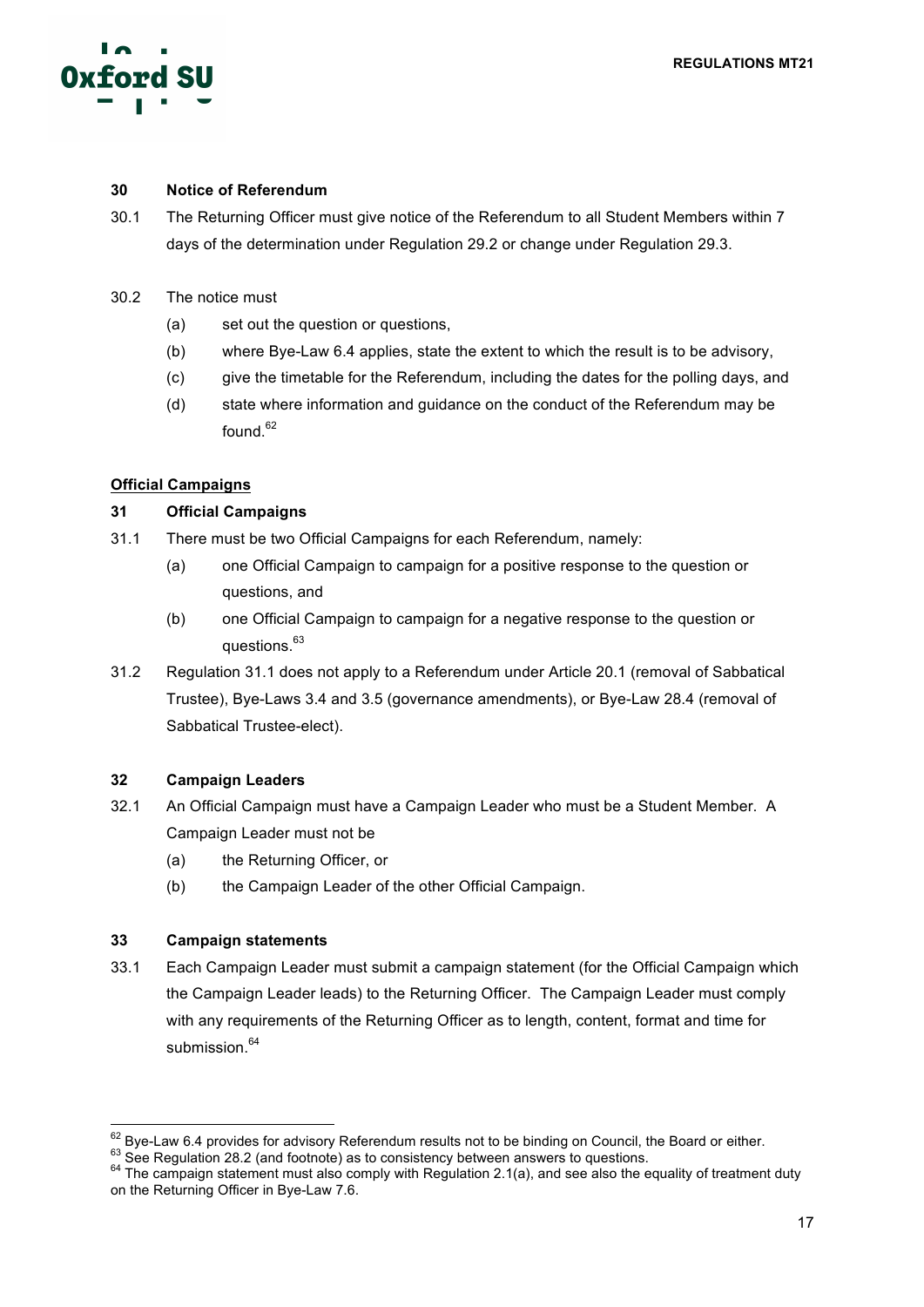

# **30 Notice of Referendum**

- 30.1 The Returning Officer must give notice of the Referendum to all Student Members within 7 days of the determination under Regulation 29.2 or change under Regulation 29.3.
- 30.2 The notice must
	- (a) set out the question or questions,
	- (b) where Bye-Law 6.4 applies, state the extent to which the result is to be advisory,
	- (c) give the timetable for the Referendum, including the dates for the polling days, and
	- (d) state where information and guidance on the conduct of the Referendum may be found. 62

# **Official Campaigns**

#### **31 Official Campaigns**

- 31.1 There must be two Official Campaigns for each Referendum, namely:
	- (a) one Official Campaign to campaign for a positive response to the question or questions, and
	- (b) one Official Campaign to campaign for a negative response to the question or questions.<sup>63</sup>
- 31.2 Regulation 31.1 does not apply to a Referendum under Article 20.1 (removal of Sabbatical Trustee), Bye-Laws 3.4 and 3.5 (governance amendments), or Bye-Law 28.4 (removal of Sabbatical Trustee-elect).

# **32 Campaign Leaders**

- 32.1 An Official Campaign must have a Campaign Leader who must be a Student Member. A Campaign Leader must not be
	- (a) the Returning Officer, or
	- (b) the Campaign Leader of the other Official Campaign.

#### **33 Campaign statements**

33.1 Each Campaign Leader must submit a campaign statement (for the Official Campaign which the Campaign Leader leads) to the Returning Officer. The Campaign Leader must comply with any requirements of the Returning Officer as to length, content, format and time for submission. 64

 $^{62}$  Bye-Law 6.4 provides for advisory Referendum results not to be binding on Council, the Board or either.<br>  $^{63}$  See Regulation 28.2 (and footnote) as to consistency between answers to questions.<br>  $^{64}$  The campaig on the Returning Officer in Bye-Law 7.6.